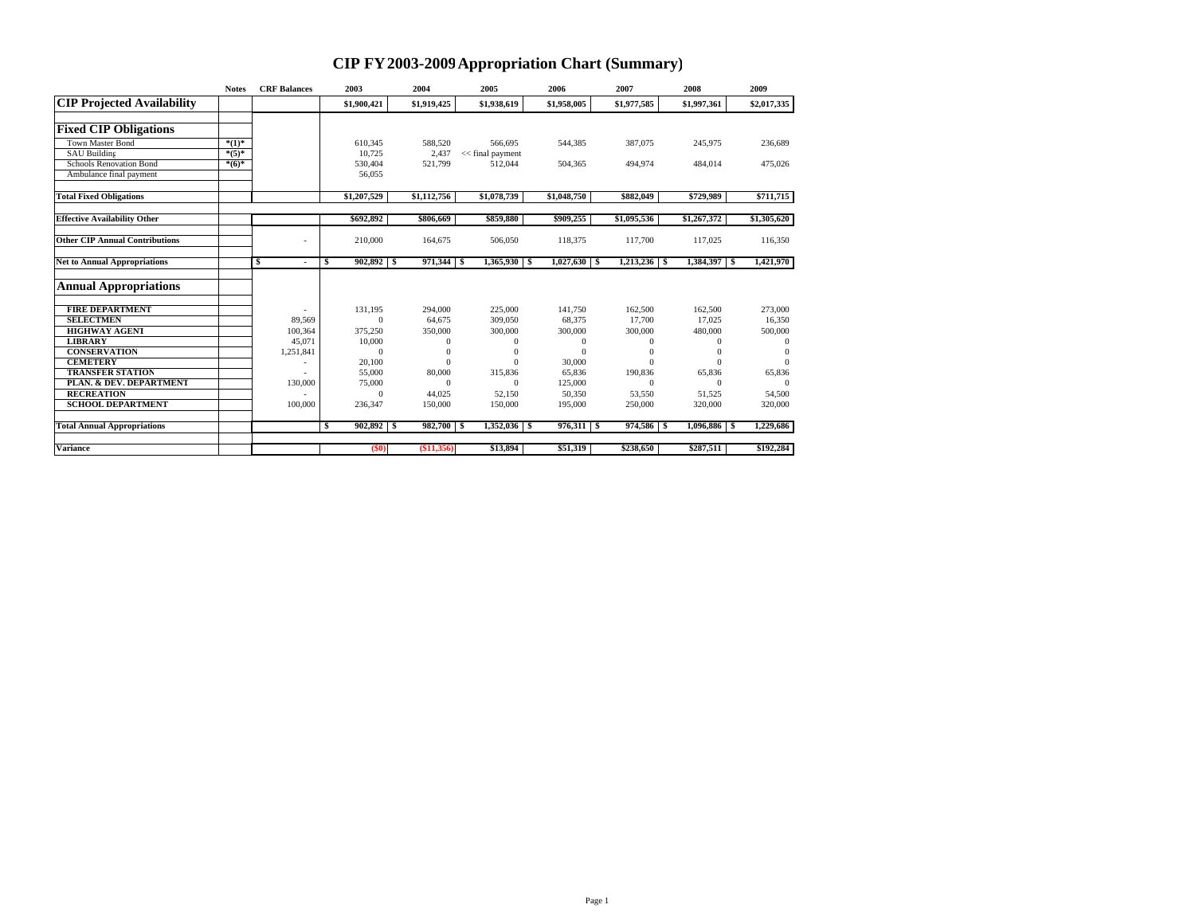## **CIP FY2003-2009Appropriation Chart (Summary)**

|                                       | <b>Notes</b> | <b>CRF</b> Balances | 2003               | 2004             | 2005                          | 2006           | 2007           | 2008           | 2009         |
|---------------------------------------|--------------|---------------------|--------------------|------------------|-------------------------------|----------------|----------------|----------------|--------------|
| <b>CIP Projected Availability</b>     |              |                     | \$1,900,421        | \$1,919,425      | \$1,938,619                   | \$1,958,005    | \$1,977.585    | \$1,997,361    | \$2,017,335  |
| <b>Fixed CIP Obligations</b>          |              |                     |                    |                  |                               |                |                |                |              |
| <b>Town Master Bond</b>               | $*(1)^*$     |                     |                    |                  |                               |                |                |                |              |
| <b>SAU Building</b>                   | $*(5)*$      |                     | 610,345<br>10.725  | 588,520<br>2,437 | 566,695<br>$<<$ final payment | 544,385        | 387,075        | 245,975        | 236,689      |
| <b>Schools Renovation Bond</b>        | $*(6)*$      |                     | 530,404            | 521,799          | 512.044                       | 504,365        | 494,974        | 484,014        | 475,026      |
|                                       |              |                     |                    |                  |                               |                |                |                |              |
| Ambulance final payment               |              |                     | 56,055             |                  |                               |                |                |                |              |
| <b>Total Fixed Obligations</b>        |              |                     | \$1,207,529        | \$1,112,756      | \$1,078,739                   | \$1,048,750    | \$882,049      | \$729,989      | \$711,715    |
| <b>Effective Availability Other</b>   |              |                     | \$692.892          | \$806,669        | \$859,880                     | \$909,255      | \$1,095,536    | \$1,267,372    | \$1,305,620  |
|                                       |              |                     |                    |                  |                               |                |                |                |              |
| <b>Other CIP Annual Contributions</b> |              |                     | 210,000            | 164,675          | 506,050                       | 118,375        | 117,700        | 117,025        | 116,350      |
| <b>Net to Annual Appropriations</b>   |              | S<br>٠              | $902,892$ \$<br>S  | 971,344 \$       | $1,365,930$ S                 | $1,027,630$ \$ | $1,213,236$ \$ | 1,384,397 \$   | 1,421,970    |
| <b>Annual Appropriations</b>          |              |                     |                    |                  |                               |                |                |                |              |
| <b>FIRE DEPARTMENT</b>                |              |                     | 131,195            | 294,000          | 225,000                       | 141,750        | 162,500        | 162,500        | 273,000      |
| <b>SELECTMEN</b>                      |              | 89,569              | $\mathbf{0}$       | 64,675           | 309,050                       | 68,375         | 17,700         | 17,025         | 16,350       |
| <b>HIGHWAY AGENT</b>                  |              | 100,364             | 375,250            | 350,000          | 300,000                       | 300,000        | 300,000        | 480,000        | 500,000      |
| <b>LIBRARY</b>                        |              | 45,071              | 10,000             | $\theta$         | $\theta$                      | $\mathbf{0}$   | $\Omega$       | $\theta$       | $\theta$     |
| <b>CONSERVATION</b>                   |              | 1,251,841           | $\mathbf{0}$       |                  | $\Omega$                      | $\Omega$       |                | $\Omega$       | $\mathbf{0}$ |
| <b>CEMETERY</b>                       |              |                     | 20,100             |                  | $\Omega$                      | 30,000         | $\Omega$       | $\Omega$       | $\Omega$     |
| <b>TRANSFER STATION</b>               |              |                     | 55,000             | 80,000           | 315,836                       | 65,836         | 190,836        | 65,836         | 65,836       |
| PLAN. & DEV. DEPARTMENT               |              | 130,000             | 75,000             | $\Omega$         | $\Omega$                      | 125,000        | $\Omega$       | $\Omega$       | $\Omega$     |
| <b>RECREATION</b>                     |              |                     | $\Omega$           | 44.025           | 52.150                        | 50,350         | 53,550         | 51,525         | 54,500       |
| <b>SCHOOL DEPARTMENT</b>              |              | 100,000             | 236.347            | 150,000          | 150,000                       | 195,000        | 250,000        | 320,000        | 320,000      |
| <b>Total Annual Appropriations</b>    |              |                     | $902,892$ \$<br>-S | 982,700 \$       |                               | $976,311$ \$   | 974,586 \$     | $1,096,886$ \$ | 1,229,686    |
| <b>Variance</b>                       |              |                     | (50)               | (\$11,356)       | \$13,894                      | \$51,319       | \$238,650      | \$287,511      | \$192,284    |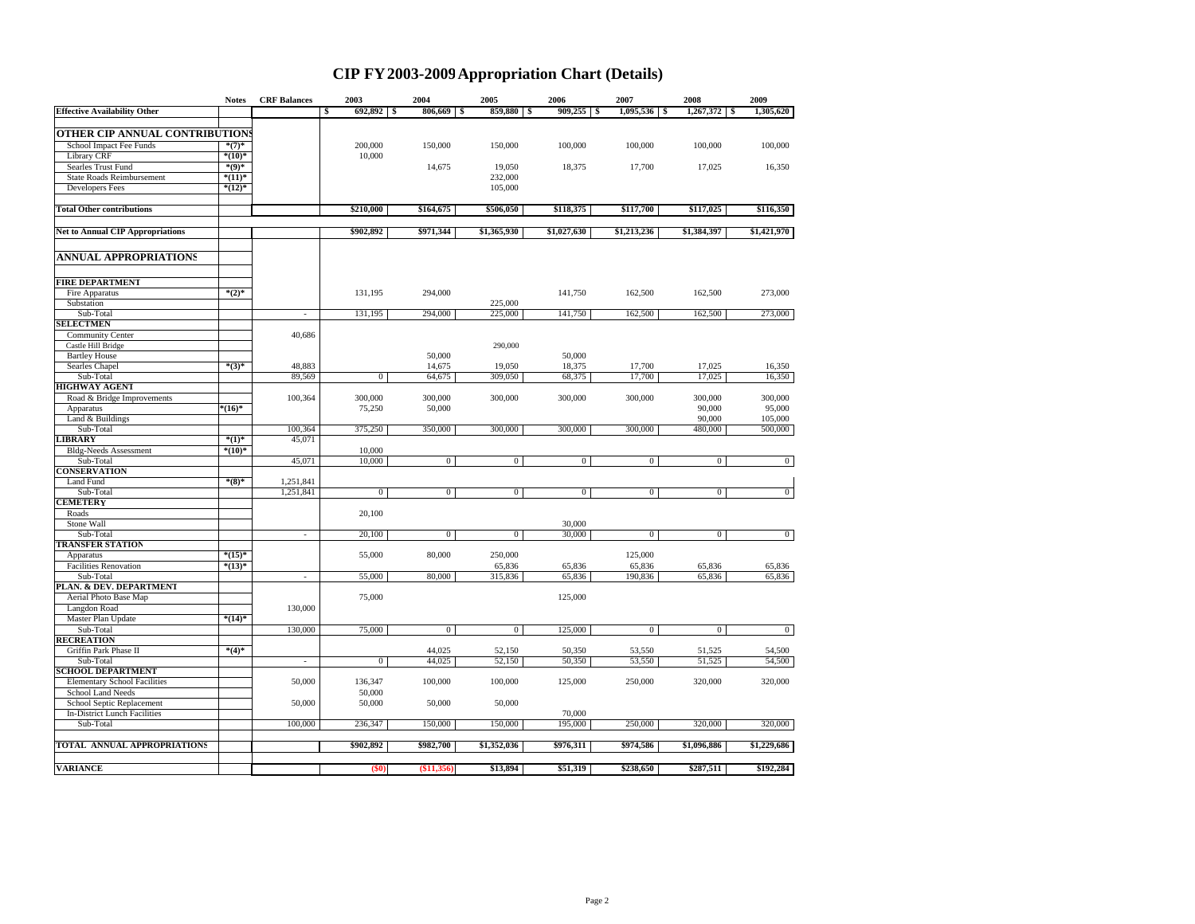## **CIP FY2003-2009Appropriation Chart (Details)**

|                                         | <b>Notes</b>          | <b>CRF</b> Balances      | 2003           | 2004                  | 2005               | 2006               | 2007           | 2008              | 2009           |
|-----------------------------------------|-----------------------|--------------------------|----------------|-----------------------|--------------------|--------------------|----------------|-------------------|----------------|
| <b>Effective Availability Other</b>     |                       |                          | 692,892<br>\$  | 806,669<br>- \$<br>-5 | 859,880            | 909,255<br>\$<br>s | 1,095,536      | 1,267,372<br>- \$ | 1,305,620      |
|                                         |                       |                          |                |                       |                    |                    |                |                   |                |
| <b>OTHER CIP ANNUAL CONTRIBUTIONS</b>   |                       |                          |                |                       |                    |                    |                |                   |                |
| School Impact Fee Funds                 | $*(7)^*$              |                          | 200,000        | 150,000               | 150,000            | 100,000            | 100,000        | 100,000           | 100,000        |
| <b>Library CRF</b>                      | $^{*(10)*}$           |                          | 10,000         |                       |                    |                    |                |                   |                |
| Searles Trust Fund                      | $^{*(9)*}$            |                          |                | 14,675                | 19,050             | 18,375             | 17,700         | 17,025            | 16,350         |
| <b>State Roads Reimbursement</b>        | $*(11)^*$<br>$*(12)*$ |                          |                |                       | 232,000<br>105,000 |                    |                |                   |                |
| <b>Developers Fees</b>                  |                       |                          |                |                       |                    |                    |                |                   |                |
| <b>Total Other contributions</b>        |                       |                          | \$210,000      | \$164,675             | \$506,050          | \$118,375          | \$117,700      | \$117,025         | \$116,350      |
| <b>Net to Annual CIP Appropriations</b> |                       |                          | \$902,892      | \$971,344             | \$1,365,930        | \$1,027,630        | \$1,213,236    | \$1,384,397       | \$1,421,970    |
| <b>ANNUAL APPROPRIATIONS</b>            |                       |                          |                |                       |                    |                    |                |                   |                |
|                                         |                       |                          |                |                       |                    |                    |                |                   |                |
| <b>FIRE DEPARTMENT</b>                  |                       |                          |                |                       |                    |                    |                |                   |                |
| Fire Apparatus                          | $*(2)^*$              |                          | 131,195        | 294,000               |                    | 141,750            | 162,500        | 162,500           | 273,000        |
| Substation                              |                       |                          |                |                       | 225,000            |                    |                |                   |                |
| Sub-Total                               |                       | $\sim$                   | 131,195        | 294,000               | 225,000            | 141,750            | 162,500        | 162,500           | 273,000        |
| <b>SELECTMEN</b>                        |                       |                          |                |                       |                    |                    |                |                   |                |
| <b>Community Center</b>                 |                       | 40,686                   |                |                       |                    |                    |                |                   |                |
| Castle Hill Bridge                      |                       |                          |                |                       | 290,000            |                    |                |                   |                |
| <b>Bartley House</b>                    |                       |                          |                | 50,000                |                    | 50,000             |                |                   |                |
| Searles Chapel                          | $*(3)*$               | 48,883                   |                | 14,675                | 19,050             | 18,375             | 17,700         | 17,025            | 16,350         |
| Sub-Total                               |                       | 89,569                   | $\overline{0}$ | 64,675                | 309,050            | 68,375             | 17,700         | 17,025            | 16,350         |
| <b>HIGHWAY AGENT</b>                    |                       |                          |                |                       |                    |                    |                |                   |                |
| Road & Bridge Improvements              |                       | 100,364                  | 300,000        | 300,000               | 300,000            | 300,000            | 300,000        | 300,000           | 300,000        |
| Apparatus                               | $*(16)*$              |                          | 75,250         | 50,000                |                    |                    |                | 90,000            | 95,000         |
| Land & Buildings                        |                       |                          |                |                       |                    |                    |                | 90,000            | 105,000        |
| Sub-Total                               |                       | 100,364                  | 375,250        | 350,000               | 300,000            | 300,000            | 300,000        | 480,000           | 500,000        |
| <b>LIBRARY</b>                          | $*(1)^*$              | 45,071                   |                |                       |                    |                    |                |                   |                |
| <b>Bldg-Needs Assessment</b>            | $^{*(10)*}$           |                          | 10,000         |                       |                    |                    |                |                   |                |
| Sub-Total                               |                       | 45,071                   | 10,000         | $\overline{0}$        | $\overline{0}$     | $\mathbf{0}$       | $\overline{0}$ | $\overline{0}$    | $\bf{0}$       |
| <b>CONSERVATION</b>                     |                       |                          |                |                       |                    |                    |                |                   |                |
| Land Fund                               | $^{*(8)*}$            | 1,251,841                |                |                       |                    |                    |                |                   |                |
| Sub-Total                               |                       | 1,251,841                | $\overline{0}$ | $\overline{0}$        | $\mathbf{0}$       | $\overline{0}$     | $\mathbf{0}$   | $\overline{0}$    | $\overline{0}$ |
| CEMETERY                                |                       |                          |                |                       |                    |                    |                |                   |                |
| Roads                                   |                       |                          | 20,100         |                       |                    |                    |                |                   |                |
| Stone Wall                              |                       |                          |                |                       |                    | 30,000             |                |                   |                |
| Sub-Total                               |                       | $\sim$                   | 20,100         | $\boldsymbol{0}$      | $\boldsymbol{0}$   | 30,000             | $\mathbf{0}$   | $\mathbf{0}$      | $\bf{0}$       |
| <b>TRANSFER STATION</b>                 |                       |                          |                |                       |                    |                    |                |                   |                |
| Apparatus                               | $*(15)*$              |                          | 55,000         | 80,000                | 250,000            |                    | 125,000        |                   |                |
| <b>Facilities Renovation</b>            | $*(13)*$              |                          |                |                       | 65,836             | 65,836             | 65,836         | 65,836            | 65,836         |
| Sub-Total                               |                       | $\sim$                   | 55,000         | 80,000                | 315,836            | 65,836             | 190,836        | 65,836            | 65,836         |
| PLAN. & DEV. DEPARTMENT                 |                       |                          |                |                       |                    |                    |                |                   |                |
| Aerial Photo Base Map                   |                       |                          | 75,000         |                       |                    | 125,000            |                |                   |                |
| Langdon Road                            | $*(14)*$              | 130,000                  |                |                       |                    |                    |                |                   |                |
| Master Plan Update<br>Sub-Total         |                       | 130,000                  | 75,000         | $\overline{0}$        | $\overline{0}$     | 125,000            | $\overline{0}$ | $\overline{0}$    | $\overline{0}$ |
| <b>RECREATION</b>                       |                       |                          |                |                       |                    |                    |                |                   |                |
| Griffin Park Phase II                   | $^{*(4)*}$            |                          |                | 44,025                | 52,150             | 50,350             | 53,550         | 51,525            | 54,500         |
| Sub-Total                               |                       | $\overline{\phantom{a}}$ | $\mathbf{0}$   | 44,025                | 52,150             | 50,350             | 53,550         | 51,525            | 54,500         |
| <b>SCHOOL DEPARTMENT</b>                |                       |                          |                |                       |                    |                    |                |                   |                |
| <b>Elementary School Facilities</b>     |                       | 50,000                   | 136,347        | 100,000               | 100,000            | 125,000            | 250,000        | 320,000           | 320,000        |
| School Land Needs                       |                       |                          | 50,000         |                       |                    |                    |                |                   |                |
| School Septic Replacement               |                       | 50,000                   | 50,000         | 50,000                | 50,000             |                    |                |                   |                |
| In-District Lunch Facilities            |                       |                          |                |                       |                    | 70,000             |                |                   |                |
| Sub-Total                               |                       | 100,000                  | 236,347        | 150,000               | 150,000            | 195,000            | 250,000        | 320,000           | 320,000        |
|                                         |                       |                          |                |                       |                    |                    |                |                   |                |
| TOTAL ANNUAL APPROPRIATIONS             |                       |                          | \$902,892      | \$982,700             | \$1,352,036        | \$976,311          | \$974,586      | \$1,096,886       | \$1,229,686    |
| <b>VARIANCE</b>                         |                       |                          | (50)           | (\$11,356)            | \$13,894           | \$51,319           | \$238,650      | \$287,511         | \$192,284      |
|                                         |                       |                          |                |                       |                    |                    |                |                   |                |